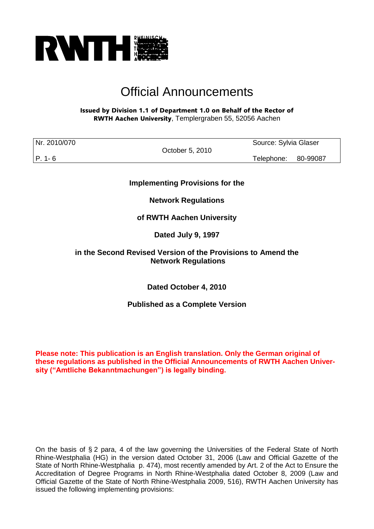

# Official Announcements

## Issued by Division 1.1 of Department 1.0 on Behalf of the Rector of RWTH Aachen University, Templergraben 55, 52056 Aachen

| Nr. 2010/070 |                 | Source: Sylvia Glaser |          |
|--------------|-----------------|-----------------------|----------|
|              | October 5, 2010 |                       |          |
| P. 1-6       |                 | Telephone:            | 80-99087 |

**Implementing Provisions for the**

**Network Regulations**

**of RWTH Aachen University**

**Dated July 9, 1997** 

# **in the Second Revised Version of the Provisions to Amend the Network Regulations**

**Dated October 4, 2010**

**Published as a Complete Version**

**Please note: This publication is an English translation. Only the German original of these regulations as published in the Official Announcements of RWTH Aachen University ("Amtliche Bekanntmachungen") is legally binding.**

On the basis of § 2 para, 4 of the law governing the Universities of the Federal State of North Rhine-Westphalia (HG) in the version dated October 31, 2006 (Law and Official Gazette of the State of North Rhine-Westphalia p. 474), most recently amended by Art. 2 of the Act to Ensure the Accreditation of Degree Programs in North Rhine-Westphalia dated October 8, 2009 (Law and Official Gazette of the State of North Rhine-Westphalia 2009, 516), RWTH Aachen University has issued the following implementing provisions: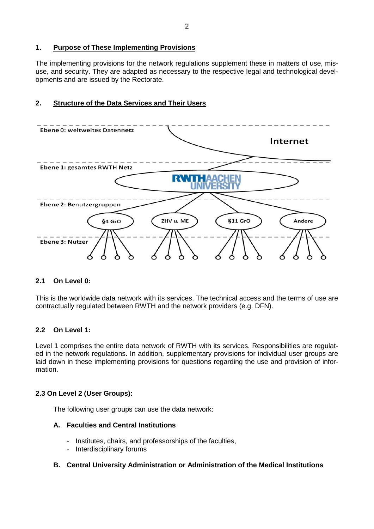# **1. Purpose of These Implementing Provisions**

The implementing provisions for the network regulations supplement these in matters of use, misuse, and security. They are adapted as necessary to the respective legal and technological developments and are issued by the Rectorate.

# **2. Structure of the Data Services and Their Users**



# **2.1 On Level 0:**

This is the worldwide data network with its services. The technical access and the terms of use are contractually regulated between RWTH and the network providers (e.g. DFN).

# **2.2 On Level 1:**

Level 1 comprises the entire data network of RWTH with its services. Responsibilities are regulated in the network regulations. In addition, supplementary provisions for individual user groups are laid down in these implementing provisions for questions regarding the use and provision of information.

# **2.3 On Level 2 (User Groups):**

The following user groups can use the data network:

# **A. Faculties and Central Institutions**

- Institutes, chairs, and professorships of the faculties,
- Interdisciplinary forums

# **B. Central University Administration or Administration of the Medical Institutions**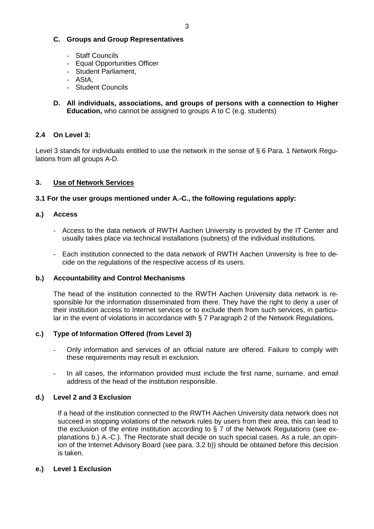# **C. Groups and Group Representatives**

- Staff Councils
- Equal Opportunities Officer
- Student Parliament,
- AStA,
- Student Councils
- **D. All individuals, associations, and groups of persons with a connection to Higher Education,** who cannot be assigned to groups A to C (e.g. students)

# **2.4 On Level 3:**

Level 3 stands for individuals entitled to use the network in the sense of § 6 Para. 1 Network Regulations from all groups A-D.

# **3. Use of Network Services**

## **3.1 For the user groups mentioned under A.-C., the following regulations apply:**

## **a.) Access**

- Access to the data network of RWTH Aachen University is provided by the IT Center and usually takes place via technical installations (subnets) of the individual institutions.
- Each institution connected to the data network of RWTH Aachen University is free to decide on the regulations of the respective access of its users.

#### **b.) Accountability and Control Mechanisms**

The head of the institution connected to the RWTH Aachen University data network is responsible for the information disseminated from there. They have the right to deny a user of their institution access to Internet services or to exclude them from such services, in particular in the event of violations in accordance with § 7 Paragraph 2 of the Network Regulations.

#### **c.) Type of Information Offered (from Level 3)**

- Only information and services of an official nature are offered. Failure to comply with these requirements may result in exclusion.
- In all cases, the information provided must include the first name, surname, and email address of the head of the institution responsible.

# **d.) Level 2 and 3 Exclusion**

If a head of the institution connected to the RWTH Aachen University data network does not succeed in stopping violations of the network rules by users from their area, this can lead to the exclusion of the entire institution according to § 7 of the Network Regulations (see explanations b.) A.-C.). The Rectorate shall decide on such special cases. As a rule, an opinion of the Internet Advisory Board (see para. 3.2 b)) should be obtained before this decision is taken.

#### **e.) Level 1 Exclusion**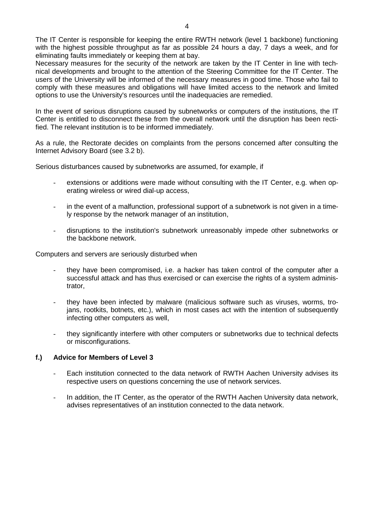Necessary measures for the security of the network are taken by the IT Center in line with technical developments and brought to the attention of the Steering Committee for the IT Center. The users of the University will be informed of the necessary measures in good time. Those who fail to comply with these measures and obligations will have limited access to the network and limited options to use the University's resources until the inadequacies are remedied.

In the event of serious disruptions caused by subnetworks or computers of the institutions, the IT Center is entitled to disconnect these from the overall network until the disruption has been rectified. The relevant institution is to be informed immediately.

As a rule, the Rectorate decides on complaints from the persons concerned after consulting the Internet Advisory Board (see 3.2 b).

Serious disturbances caused by subnetworks are assumed, for example, if

- extensions or additions were made without consulting with the IT Center, e.g. when operating wireless or wired dial-up access,
- in the event of a malfunction, professional support of a subnetwork is not given in a timely response by the network manager of an institution,
- disruptions to the institution's subnetwork unreasonably impede other subnetworks or the backbone network.

Computers and servers are seriously disturbed when

- they have been compromised, i.e. a hacker has taken control of the computer after a successful attack and has thus exercised or can exercise the rights of a system administrator,
- they have been infected by malware (malicious software such as viruses, worms, trojans, rootkits, botnets, etc.), which in most cases act with the intention of subsequently infecting other computers as well,
- they significantly interfere with other computers or subnetworks due to technical defects or misconfigurations.

# **f.) Advice for Members of Level 3**

- Each institution connected to the data network of RWTH Aachen University advises its respective users on questions concerning the use of network services.
- In addition, the IT Center, as the operator of the RWTH Aachen University data network, advises representatives of an institution connected to the data network.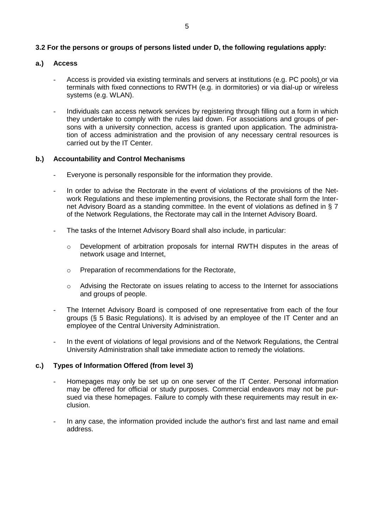## **3.2 For the persons or groups of persons listed under D, the following regulations apply:**

## **a.) Access**

- Access is provided via existing terminals and servers at institutions (e.g. PC pools) or via terminals with fixed connections to RWTH (e.g. in dormitories) or via dial-up or wireless systems (e.g. WLAN).
- Individuals can access network services by registering through filling out a form in which they undertake to comply with the rules laid down. For associations and groups of persons with a university connection, access is granted upon application. The administration of access administration and the provision of any necessary central resources is carried out by the IT Center.

## **b.) Accountability and Control Mechanisms**

- Everyone is personally responsible for the information they provide.
- In order to advise the Rectorate in the event of violations of the provisions of the Network Regulations and these implementing provisions, the Rectorate shall form the Internet Advisory Board as a standing committee. In the event of violations as defined in § 7 of the Network Regulations, the Rectorate may call in the Internet Advisory Board.
- The tasks of the Internet Advisory Board shall also include, in particular:
	- $\circ$  Development of arbitration proposals for internal RWTH disputes in the areas of network usage and Internet,
	- o Preparation of recommendations for the Rectorate,
	- $\circ$  Advising the Rectorate on issues relating to access to the Internet for associations and groups of people.
- The Internet Advisory Board is composed of one representative from each of the four groups (§ 5 Basic Regulations). It is advised by an employee of the IT Center and an employee of the Central University Administration.
- In the event of violations of legal provisions and of the Network Regulations, the Central University Administration shall take immediate action to remedy the violations.

# **c.) Types of Information Offered (from level 3)**

- Homepages may only be set up on one server of the IT Center. Personal information may be offered for official or study purposes. Commercial endeavors may not be pursued via these homepages. Failure to comply with these requirements may result in exclusion.
- In any case, the information provided include the author's first and last name and email address.